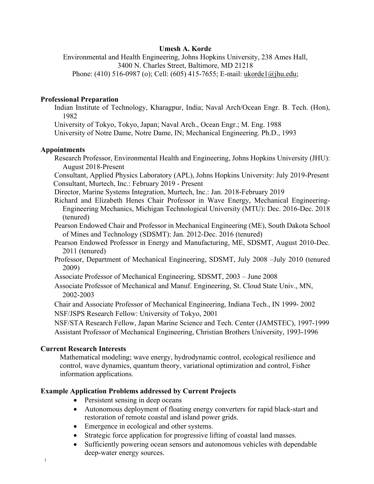### **Umesh A. Korde**

Environmental and Health Engineering, Johns Hopkins University, 238 Ames Hall, 3400 N. Charles Street, Baltimore, MD 21218 Phone: (410) 516-0987 (o); Cell: (605) 415-7655; E-mail: ukorde1@jhu.edu;

### **Professional Preparation**

Indian Institute of Technology, Kharagpur, India; Naval Arch/Ocean Engr. B. Tech. (Hon), 1982

University of Tokyo, Tokyo, Japan; Naval Arch., Ocean Engr.; M. Eng. 1988

University of Notre Dame, Notre Dame, IN; Mechanical Engineering. Ph.D., 1993

### **Appointments**

Research Professor, Environmental Health and Engineering, Johns Hopkins University (JHU): August 2018-Present

Consultant, Applied Physics Laboratory (APL), Johns Hopkins University: July 2019-Present Consultant, Murtech, Inc.: February 2019 - Present

- Director, Marine Systems Integration, Murtech, Inc.: Jan. 2018-February 2019
- Richard and Elizabeth Henes Chair Professor in Wave Energy, Mechanical Engineering-Engineering Mechanics, Michigan Technological University (MTU): Dec. 2016-Dec. 2018 (tenured)
- Pearson Endowed Chair and Professor in Mechanical Engineering (ME), South Dakota School of Mines and Technology (SDSMT): Jan. 2012-Dec. 2016 (tenured)
- Pearson Endowed Professor in Energy and Manufacturing, ME, SDSMT, August 2010-Dec. 2011 (tenured)
- Professor, Department of Mechanical Engineering, SDSMT, July 2008 –July 2010 (tenured 2009)
- Associate Professor of Mechanical Engineering, SDSMT, 2003 June 2008
- Associate Professor of Mechanical and Manuf. Engineering, St. Cloud State Univ., MN, 2002-2003

Chair and Associate Professor of Mechanical Engineering, Indiana Tech., IN 1999- 2002 NSF/JSPS Research Fellow: University of Tokyo, 2001

NSF/STA Research Fellow, Japan Marine Science and Tech. Center (JAMSTEC), 1997-1999 Assistant Professor of Mechanical Engineering, Christian Brothers University, 1993-1996

### **Current Research Interests**

1

Mathematical modeling; wave energy, hydrodynamic control, ecological resilience and control, wave dynamics, quantum theory, variational optimization and control, Fisher information applications.

# **Example Application Problems addressed by Current Projects**

- Persistent sensing in deep oceans
- Autonomous deployment of floating energy converters for rapid black-start and restoration of remote coastal and island power grids.
- Emergence in ecological and other systems.
- Strategic force application for progressive lifting of coastal land masses.
- Sufficiently powering ocean sensors and autonomous vehicles with dependable deep-water energy sources.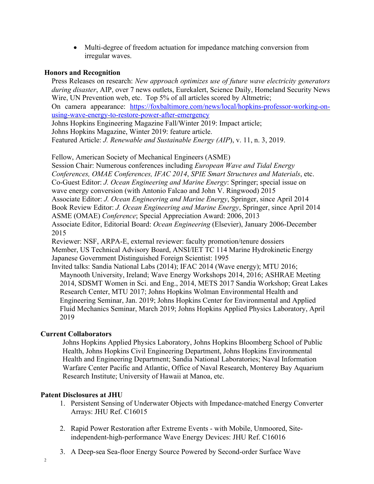• Multi-degree of freedom actuation for impedance matching conversion from irregular waves.

### **Honors and Recognition**

Press Releases on research: *New approach optimizes use of future wave electricity generators during disaster*, AIP, over 7 news outlets, Eurekalert, Science Daily, Homeland Security News Wire, UN Prevention web, etc. Top 5% of all articles scored by Altmetric;

On camera appearance: https://foxbaltimore.com/news/local/hopkins-professor-working-onusing-wave-energy-to-restore-power-after-emergency

Johns Hopkins Engineering Magazine Fall/Winter 2019: Impact article;

Johns Hopkins Magazine, Winter 2019: feature article.

Featured Article: *J. Renewable and Sustainable Energy (AIP*), v. 11, n. 3, 2019.

Fellow, American Society of Mechanical Engineers (ASME)

Session Chair: Numerous conferences including *European Wave and Tidal Energy Conferences, OMAE Conferences, IFAC 2014*, *SPIE Smart Structures and Materials*, etc. Co-Guest Editor: *J. Ocean Engineering and Marine Energy*: Springer; special issue on wave energy conversion (with Antonio Falcao and John V. Ringwood) 2015 Associate Editor: *J. Ocean Engineering and Marine Energy*, Springer, since April 2014 Book Review Editor: *J. Ocean Engineering and Marine Energy*, Springer, since April 2014 ASME (OMAE) *Conference*; Special Appreciation Award: 2006, 2013 Associate Editor, Editorial Board: *Ocean Engineering* (Elsevier), January 2006-December 2015 Reviewer: NSF, ARPA-E, external reviewer: faculty promotion/tenure dossiers

Member, US Technical Advisory Board, ANSI/IET TC 114 Marine Hydrokinetic Energy Japanese Government Distinguished Foreign Scientist: 1995

Invited talks: Sandia National Labs (2014); IFAC 2014 (Wave energy); MTU 2016; Maynooth University, Ireland; Wave Energy Workshops 2014, 2016; ASHRAE Meeting 2014, SDSMT Women in Sci. and Eng., 2014, METS 2017 Sandia Workshop; Great Lakes Research Center, MTU 2017; Johns Hopkins Wolman Environmental Health and Engineering Seminar, Jan. 2019; Johns Hopkins Center for Environmental and Applied Fluid Mechanics Seminar, March 2019; Johns Hopkins Applied Physics Laboratory, April 2019

# **Current Collaborators**

Johns Hopkins Applied Physics Laboratory, Johns Hopkins Bloomberg School of Public Health, Johns Hopkins Civil Engineering Department, Johns Hopkins Environmental Health and Engineering Department; Sandia National Laboratories; Naval Information Warfare Center Pacific and Atlantic, Office of Naval Research, Monterey Bay Aquarium Research Institute; University of Hawaii at Manoa, etc.

# **Patent Disclosures at JHU**

- 1. Persistent Sensing of Underwater Objects with Impedance-matched Energy Converter Arrays: JHU Ref. C16015
- 2. Rapid Power Restoration after Extreme Events with Mobile, Unmoored, Siteindependent-high-performance Wave Energy Devices: JHU Ref. C16016
- 3. A Deep-sea Sea-floor Energy Source Powered by Second-order Surface Wave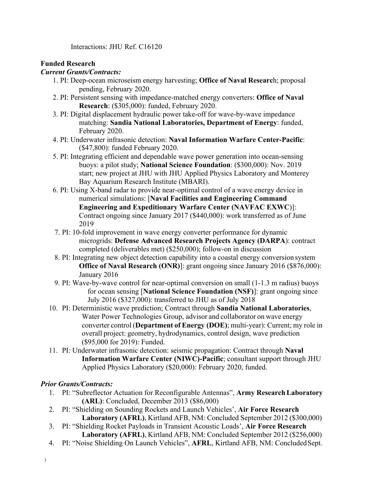Interactions: JHU Ref. C16120

## **Funded Research**

### *Current Grants/Contracts:*

- 1. PI: Deep-ocean microseism energy harvesting; **Office of Naval Researc**h; proposal pending, February 2020.
- 2. PI: Persistent sensing with impedance-matched energy converters: **Office of Naval Research**: (\$305,000): funded, February 2020.
- 3. PI: Digital displacement hydraulic power take-off for wave-by-wave impedance matching: **Sandia National Laboratories, Department of Energy**: funded, February 2020.
- 4. PI: Underwater infrasonic detection: **Naval Information Warfare Center-Pacific**: (\$47,800): funded February 2020.
- 5. PI: Integrating efficient and dependable wave power generation into ocean-sensing buoys: a pilot study; **National Science Foundation**: (\$300,000): Nov. 2019 start; new project at JHU with JHU Applied Physics Laboratory and Monterey Bay Aquarium Research Institute (MBARI).
- 6. PI: Using X-band radar to provide near-optimal control of a wave energy device in numerical simulations: [**Naval Facilities and Engineering Command Engineering and Expeditionary Warfare Center (NAVFAC EXWC**)]: Contract ongoing since January 2017 (\$440,000): work transferred as of June 2019
- 7. PI: 10-fold improvement in wave energy converter performance for dynamic microgrids: **Defense Advanced Research Projects Agency (DARPA**): contract completed (deliverables met) (\$250,000); follow-on in discussion
- 8. PI: Integrating new object detection capability into a coastal energy conversion system **Office of Naval Research (ONR)**: grant ongoing since January 2016 (\$876,000): January 2016
- 9. PI: Wave-by-wave control for near-optimal conversion on small (1-1.3 m radius) buoys for ocean sensing [**National Science Foundation (NSF)**]: grant ongoing since July 2016 (\$327,000): transferred to JHU as of July 2018
- 10. PI: Deterministic wave prediction; Contract through **Sandia National Laboratories**, Water Power Technologies Group, advisor and collaborator on wave energy converter control (**Department of Energy (DOE)**; multi-year): Current; my role in overall project: geometry, hydrodynamics, control design, wave prediction (\$95,000 for 2019): Funded.
- 11. PI: Underwater infrasonic detection: seismic propagation: Contract through **Naval Information Warfare Center (NIWC)-Pacific**; consultant support through JHU Applied Physics Laboratory (\$20,000): February 2020, funded.

# *Prior Grants/Contracts:*

- 1. PI: "Subreflector Actuation for Reconfigurable Antennas", **Army ResearchLaboratory (ARL)**: Concluded, December 2013 (\$86,000)
- 2. PI: "Shielding on Sounding Rockets and Launch Vehicles', **Air Force Research Laboratory (AFRL)**, Kirtland AFB, NM: Concluded September 2012 (\$300,000)
- 3. PI: "Shielding Rocket Payloads in Transient Acoustic Loads', **Air Force Research Laboratory (AFRL)**, Kirtland AFB, NM: Concluded September 2012 (\$256,000)
- 4. PI: "Noise Shielding On Launch Vehicles", **AFRL**, Kirtland AFB, NM: ConcludedSept.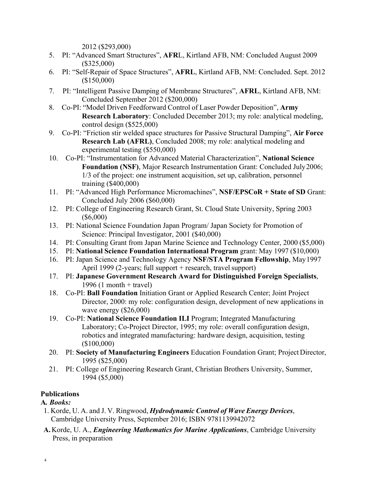2012 (\$293,000)

- 5. PI: "Advanced Smart Structures", **AFR**L, Kirtland AFB, NM: Concluded August 2009 (\$325,000)
- 6. PI: "Self-Repair of Space Structures", **AFRL**, Kirtland AFB, NM: Concluded. Sept. 2012 (\$150,000)
- 7. PI: "Intelligent Passive Damping of Membrane Structures", **AFRL**, Kirtland AFB, NM: Concluded September 2012 (\$200,000)
- 8. Co-PI: "Model Driven Feedforward Control of Laser Powder Deposition", **Army Research Laboratory**: Concluded December 2013; my role: analytical modeling, control design (\$525,000)
- 9. Co-PI: "Friction stir welded space structures for Passive Structural Damping", **Air Force Research Lab (AFRL)**, Concluded 2008; my role: analytical modeling and experimental testing (\$550,000)
- 10. Co-PI: "Instrumentation for Advanced Material Characterization", **National Science Foundation (NSF)**, Major Research Instrumentation Grant: Concluded July2006; 1/3 of the project: one instrument acquisition, set up, calibration, personnel training (\$400,000)
- 11. PI: "Advanced High Performance Micromachines", **NSF/EPSCoR + State of SD** Grant: Concluded July 2006 (\$60,000)
- 12. PI: College of Engineering Research Grant, St. Cloud State University, Spring 2003 (\$6,000)
- 13. PI: National Science Foundation Japan Program/ Japan Society for Promotion of Science: Principal Investigator, 2001 (\$40,000)
- 14. PI: Consulting Grant from Japan Marine Science and Technology Center, 2000 (\$5,000)
- 15. PI: **National Science Foundation International Program** grant: May 1997 (\$10,000)
- 16. PI: Japan Science and Technology Agency **NSF/STA Program Fellowship**, May1997 April 1999 (2-years; full support  $+$  research, travel support)
- 17. PI: **Japanese Government Research Award for Distinguished Foreign Specialists**, 1996 (1 month + travel)
- 18. Co-PI: **Ball Foundation** Initiation Grant or Applied Research Center; Joint Project Director, 2000: my role: configuration design, development of new applications in wave energy (\$26,000)
- 19. Co-PI: **National Science Foundation ILI** Program; Integrated Manufacturing Laboratory; Co-Project Director, 1995; my role: overall configuration design, robotics and integrated manufacturing: hardware design, acquisition, testing (\$100,000)
- 20. PI: **Society of Manufacturing Engineers** Education Foundation Grant; Project Director, 1995 (\$25,000)
- 21. PI: College of Engineering Research Grant, Christian Brothers University, Summer, 1994 (\$5,000)

# **Publications**

**A***. Books:*

- 1. Korde, U. A. and J. V. Ringwood, *Hydrodynamic Control of Wave Energy Devices*, Cambridge University Press, September 2016; ISBN 9781139942072
- **A.**Korde, U. A., *Engineering Mathematics for Marine Applications*, Cambridge University Press, in preparation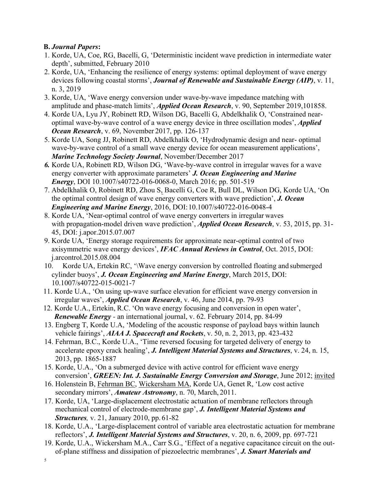# **B.** *Journal Papers***:**

- 1. Korde, UA, Coe, RG, Bacelli, G, 'Deterministic incident wave prediction in intermediate water depth', submitted, February 2010
- 2. Korde, UA, 'Enhancing the resilience of energy systems: optimal deployment of wave energy devices following coastal storms', *Journal of Renewable and Sustainable Energy (AIP)*, v. 11, n. 3, 2019
- 3. Korde, UA, 'Wave energy conversion under wave-by-wave impedance matching with amplitude and phase-match limits', *Applied Ocean Research*, v. 90, September 2019,101858.
- 4. Korde UA, Lyu JY, Robinett RD, Wilson DG, Bacelli G, Abdelkhalik O, 'Constrained nearoptimal wave-by-wave control of a wave energy device in three oscillation modes', *Applied Ocean Research*, v. 69, November 2017, pp. 126-137
- 5. Korde UA, Song JJ, Robinett RD, Abdelkhalik O, 'Hydrodynamic design and near- optimal wave-by-wave control of a small wave energy device for ocean measurement applications', *Marine Technology Society Journal*, November/December 2017
- *6.* Korde UA, Robinett RD, Wilson DG, 'Wave-by-wave control in irregular waves for a wave energy converter with approximate parameters' *J. Ocean Engineering and Marine Energy*, DOI 10.1007/s40722-016-0068-0, March 2016; pp. 501-519
- 7. Abdelkhalik O, Robinett RD, Zhou S, Bacelli G, Coe R, Bull DL, Wilson DG, Korde UA, 'On the optimal control design of wave energy converters with wave prediction', *J. Ocean Engineering and Marine Energy*, 2016, DOI:10.1007/s40722-016-0048-4
- 8. Korde UA, 'Near-optimal control of wave energy converters in irregular waves with propagation-model driven wave prediction', *Applied Ocean Research*, v. 53, 2015, pp. 31- 45, DOI: j.apor.2015.07.007
- 9. Korde UA, 'Energy storage requirements for approximate near-optimal control of two axisymmetric wave energy devices', *IFAC Annual Reviews in Control*, Oct. 2015, DOI: j.arcontrol.2015.08.004
- 10. Korde UA, Ertekin RC, '\Wave energy conversion by controlled floating and submerged cylinder buoys', *J. Ocean Engineering and Marine Energy*, March 2015, DOI: 10.1007/s40722-015-0021-7
- 11. Korde U.A., 'On using up-wave surface elevation for efficient wave energy conversion in irregular waves', *Applied Ocean Research*, v. 46, June 2014, pp. 79-93
- 12. Korde U.A., Ertekin, R.C. 'On wave energy focusing and conversion in open water', *Renewable Energy -* an international journal, v. 62. February 2014, pp. 84-99
- 13. Engberg T, Korde U.A, 'Modeling of the acoustic response of payload bays within launch vehicle fairings', *AIAA J. Spacecraft and Rockets*, v. 50, n. 2, 2013, pp. 423-432
- 14. Fehrman, B.C., Korde U.A., 'Time reversed focusing for targeted delivery of energy to accelerate epoxy crack healing', *J. Intelligent Material Systems and Structures*, v. 24, n. 15, 2013, pp. 1865-1887
- 15. Korde, U.A., 'On a submerged device with active control for efficient wave energy conversion', *GREEN: Int. J. Sustainable Energy Conversion and Storage*, June 2012; invited
- 16. Holenstein B, Fehrman BC, Wickersham MA, Korde UA, Genet R, 'Low cost active secondary mirrors', *Amateur Astronomy*, n. 70, March, 2011.
- 17. Korde, UA, 'Large-displacement electrostatic actuation of membrane reflectors through mechanical control of electrode-membrane gap', *J. Intelligent Material Systems and Structures,* v. 21, January 2010, pp. 61-82
- 18. Korde, U.A., 'Large-displacement control of variable area electrostatic actuation for membrane reflectors', *J. Intelligent Material Systems and Structures*, v. 20, n. 6, 2009, pp. 697-721
- 19. Korde, U.A., Wickersham M.A., Carr S.G., 'Effect of a negative capacitance circuit on the outof-plane stiffness and dissipation of piezoelectric membranes', *J. Smart Materials and*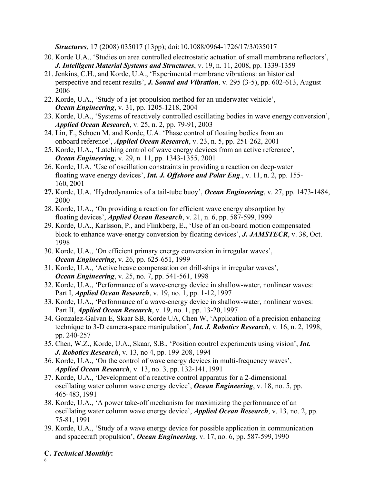*Structures*, 17 (2008) 035017 (13pp); doi:10.1088/0964-1726/17/3/035017

- 20. Korde U.A., 'Studies on area controlled electrostatic actuation of small membrane reflectors', *J. Intelligent Material Systems and Structures*, v. 19, n. 11, 2008, pp. 1339-1359
- 21. Jenkins, C.H., and Korde, U.A., 'Experimental membrane vibrations: an historical perspective and recent results', *J. Sound and Vibration,* v. 295 (3-5), pp. 602-613, August 2006
- 22. Korde, U.A., 'Study of a jet-propulsion method for an underwater vehicle', *Ocean Engineering*, v. 31, pp. 1205-1218, 2004
- 23. Korde, U.A., 'Systems of reactively controlled oscillating bodies in wave energy conversion', *Applied Ocean Research*, v. 25, n. 2, pp. 79-91, 2003
- 24. Lin, F., Schoen M. and Korde, U.A. 'Phase control of floating bodies from an onboard reference', *Applied Ocean Research*, v. 23, n. 5, pp. 251-262, 2001
- 25. Korde, U.A., 'Latching control of wave energy devices from an active reference', *Ocean Engineering*, v. 29, n. 11, pp. 1343-1355, 2001
- 26. Korde, U.A. 'Use of oscillation constraints in providing a reaction on deep-water floating wave energy devices', *Int. J. Offshore and Polar Eng*., v. 11, n. 2, pp. 155- 160, 2001
- **27.** Korde, U.A. 'Hydrodynamics of a tail-tube buoy', *Ocean Engineering*, v. 27, pp. 1473**-**1484, 2000
- 28. Korde, U.A., 'On providing a reaction for efficient wave energy absorption by floating devices', *Applied Ocean Research*, v. 21, n. 6, pp. 587-599, 1999
- 29. Korde, U.A., Karlsson, P., and Flinkberg, E., 'Use of an on-board motion compensated block to enhance wave-energy conversion by floating devices', *J. JAMSTECR*, v. 38, Oct. 1998
- 30. Korde, U.A., 'On efficient primary energy conversion in irregular waves', *Ocean Engineering*, v. 26, pp. 625-651, 1999
- 31. Korde, U.A., 'Active heave compensation on drill-ships in irregular waves', *Ocean Engineering*, v. 25, no. 7, pp. 541-561, 1998
- 32. Korde, U.A., 'Performance of a wave-energy device in shallow-water, nonlinear waves: Part I, *Applied Ocean Research*, v. 19, no. 1, pp. 1-12, 1997
- 33. Korde, U.A., 'Performance of a wave-energy device in shallow-water, nonlinear waves: Part II, *Applied Ocean Research*, v. 19, no. 1, pp. 13-20, 1997
- 34. Gonzalez-Galvan E, Skaar SB, Korde UA, Chen W, 'Application of a precision enhancing technique to 3-D camera-space manipulation', *Int. J. Robotics Research*, v. 16, n. 2, 1998, pp. 240-257
- 35. Chen, W.Z., Korde, U.A., Skaar, S.B., 'Position control experiments using vision', *Int. J. Robotics Research*, v. 13, no 4, pp. 199-208, 1994
- 36. Korde, U.A., 'On the control of wave energy devices in multi-frequency waves', *Applied Ocean Research*, v. 13, no. 3, pp. 132-141, 1991
- 37. Korde, U.A., 'Development of a reactive control apparatus for a 2-dimensional oscillating water column wave energy device', *Ocean Engineering*, v. 18, no. 5, pp. 465-483, 1991
- 38. Korde, U.A., 'A power take-off mechanism for maximizing the performance of an oscillating water column wave energy device', *Applied Ocean Research*, v. 13, no. 2, pp. 75-81, 1991
- 39. Korde, U.A., 'Study of a wave energy device for possible application in communication and spacecraft propulsion', *Ocean Engineering*, v. 17, no. 6, pp. 587-599, 1990

# **C.** *Technical Monthly***:**

6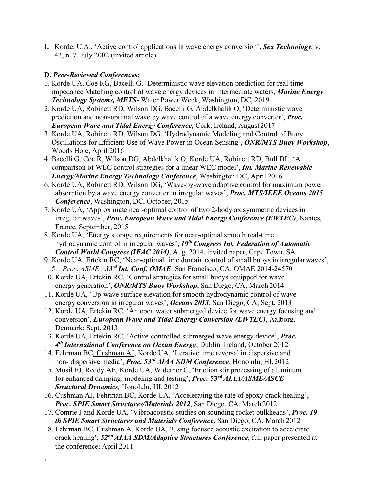**1.** Korde, U.A., 'Active control applications in wave energy conversion', *Sea Technology*, v. 43, n. 7, July 2002 (invited article)

# **D.** *Peer-Reviewed Conferences***:**

- 1. Korde UA, Coe RG, Bacelli G, 'Deterministic wave elevation prediction for real-time impedance Matching control of wave energy devices in intermediate waters, *Marine Energy Technology Systems, METS*- Water Power Week, Washington, DC, 2019
- 2. Korde UA, Robinett RD, Wilson DG, Bacelli G, Abdelkhalik O, 'Deterministic wave prediction and near-optimal wave by wave control of a wave energy converter', *Proc. European Wave and Tidal Energy Conference*, Cork, Ireland, August 2017
- 3. Korde UA, Robinett RD, Wilson DG, 'Hydrodynamic Modeling and Control of Buoy Oscillations for Efficient Use of Wave Power in Ocean Sensing', *ONR/MTS Buoy Workshop*, Woods Hole, April 2016
- 4. Bacelli G, Coe R, Wilson DG, Abdelkhalik O, Korde UA, Robinett RD, Bull DL, 'A comparison of WEC control strategies for a linear WEC model', *Int. Marine Renewable Energy/Marine Energy Technology Conference*, Washington DC, April 2016
- 6. Korde UA, Robinett RD, Wilson DG, 'Wave-by-wave adaptive control for maximum power absorption by a wave energy converter in irregular waves', *Proc. MTS/IEEE Oceans 2015 Conference*, Washington, DC, October, 2015
- 7. Korde UA, 'Approximate near-optimal control of two 2-body axisymmetric devices in irregular waves', *Proc. European Wave and Tidal Energy Conference (EWTEC)*, Nantes, France, September, 2015
- 8. Korde UA, 'Energy storage requirements for near-optimal smooth real-time hydrodynamic control in irregular waves', *19th Congress Int. Federation of Automatic Control World Congress (IFAC 2014)*, Aug. 2014, invited paper, Cape Town, SA
- 9. Korde UA, Ertekin RC, 'Near-optimal time domain control of small buoys in irregularwaves', 5. *Proc. ASME ; 33rd Int. Conf. OMAE*, San Francisco, CA, OMAE 2014-24570
- 10. Korde UA, Ertekin RC, 'Control strategies for small buoys equipped for wave energy generation', *ONR/MTS Buoy Workshop*, San Diego, CA, March 2014
- 11. Korde UA, 'Up-wave surface elevation for smooth hydrodynamic control of wave energy conversion in irregular waves', *Oceans 2013*, San Diego, CA, Sept. 2013
- 12. Korde UA, Ertekin RC, 'An open water submerged device for wave energy focusing and conversion', *European Wave and Tidal Energy Conversion (EWTEC)*, Aalborg, Denmark; Sept. 2013
- 13. Korde UA, Ertekin RC, 'Active-controlled submerged wave energy device', *Proc. 4th International Conference on Ocean Energy*, Dublin, Ireland, October 2012
- 14. Fehrman BC, Cushman AJ, Korde UA, 'Iterative time reversal in dispersive and non- dispersive media', *Proc. 53rd AIAA SDM Conference*, Honolulu, HI,2012
- 15. Musil EJ, Reddy AE, Korde UA, Widerner C, 'Friction stir processing of aluminum for enhanced damping: modeling and testing', *Proc.* **53rd** *AIAA/ASME/ASCE Structural Dynamics,* Honolulu, HI, 2012
- 16. Cushman AJ, Fehrman BC, Korde UA, 'Accelerating the rate of epoxy crack healing', *Proc. SPIE Smart Structures/Materials 2012*, San Diego, CA, March 2012
- 17. Comrie J and Korde UA, 'Vibroacoustic studies on sounding rocket bulkheads', *Proc. 19 th SPIE Smart Structures and Materials Conference*, San Diego, CA, March 2012
- 18. Fehrman BC, Cushman A, Korde UA, 'Using focused acoustic excitation to accelerate crack healing', *52nd AIAA SDM/Adaptive Structures Conference,* full paper presented at the conference; April 2011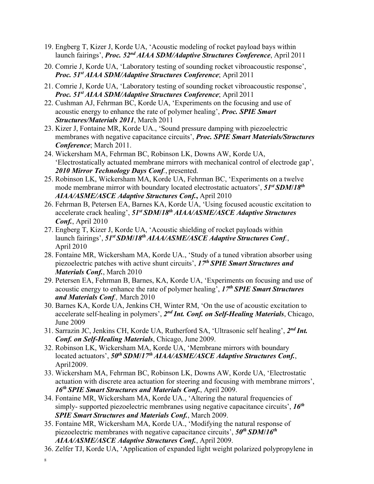- 19. Engberg T, Kizer J, Korde UA, 'Acoustic modeling of rocket payload bays within launch fairings', *Proc. 52nd AIAA SDM/Adaptive Structures Conference*, April 2011
- 20. Comrie J, Korde UA, 'Laboratory testing of sounding rocket vibroacoustic response', *Proc. 51st AIAA SDM/Adaptive Structures Conference*; April 2011
- 21. Comrie J, Korde UA, 'Laboratory testing of sounding rocket vibroacoustic response', *Proc. 51st AIAA SDM/Adaptive Structures Conference*; April 2011
- 22. Cushman AJ, Fehrman BC, Korde UA, 'Experiments on the focusing and use of acoustic energy to enhance the rate of polymer healing', *Proc. SPIE Smart Structures/Materials 2011*, March 2011
- 23. Kizer J, Fontaine MR, Korde UA., 'Sound pressure damping with piezoelectric membranes with negative capacitance circuits', *Proc. SPIE Smart Materials/Structures Conference*; March 2011.
- 24. Wickersham MA, Fehrman BC, Robinson LK, Downs AW, Korde UA, 'Electrostatically actuated membrane mirrors with mechanical control of electrode gap', *2010 Mirror Technology Days Conf.*, presented.
- 25. Robinson LK, Wickersham MA, Korde UA, Fehrman BC, 'Experiments on a twelve mode membrane mirror with boundary located electrostatic actuators', *51st SDM***/***18th AIAA/ASME/ASCE Adaptive Structures Conf.***,** April 2010
- 26. Fehrman B, Petersen EA, Barnes KA, Korde UA, 'Using focused acoustic excitation to accelerate crack healing', *51st SDM***/***18th AIAA/ASME/ASCE Adaptive Structures Conf.*, April 2010
- 27. Engberg T, Kizer J, Korde UA, 'Acoustic shielding of rocket payloads within launch fairings',  $51^{st}$  *SDM*/18<sup>th</sup> *AIAA*/*ASME*/*ASCE Adaptive Structures Conf.*, April 2010
- 28. Fontaine MR, Wickersham MA, Korde UA., 'Study of a tuned vibration absorber using piezoelectric patches with active shunt circuits', *17th SPIE Smart Structures and Materials Conf.*, March 2010
- 29. Petersen EA, Fehrman B, Barnes, KA, Korde UA, 'Experiments on focusing and use of acoustic energy to enhance the rate of polymer healing', *17th SPIE Smart Structures and Materials Conf.,* March 2010
- 30. Barnes KA, Korde UA, Jenkins CH, Winter RM, 'On the use of acoustic excitation to accelerate self-healing in polymers', *2nd Int. Conf. on Self-Healing Materials*, Chicago, June 2009
- 31. Sarrazin JC, Jenkins CH, Korde UA, Rutherford SA, 'Ultrasonic self healing', *2nd Int. Conf. on Self-Healing Materials*, Chicago, June 2009.
- 32. Robinson LK, Wickersham MA, Korde UA, 'Membrane mirrors with boundary located actuators',  $50<sup>th</sup> SDM/17<sup>th</sup> AIAA/ASME/ASEA$  daptive Structures Conf., April2009.
- 33. Wickersham MA, Fehrman BC, Robinson LK, Downs AW, Korde UA, 'Electrostatic actuation with discrete area actuation for steering and focusing with membrane mirrors', *16th SPIE Smart Structures and Materials Conf.*, April 2009.
- 34. Fontaine MR, Wickersham MA, Korde UA., 'Altering the natural frequencies of simply- supported piezoelectric membranes using negative capacitance circuits', *16th SPIE Smart Structures and Materials Conf.*, March 2009.
- 35. Fontaine MR, Wickersham MA, Korde UA., 'Modifying the natural response of piezoelectric membranes with negative capacitance circuits', *50th SDM***/***16th AIAA/ASME/ASCE Adaptive Structures Conf.*, April 2009.
- 36. Zelfer TJ, Korde UA, 'Application of expanded light weight polarized polypropylene in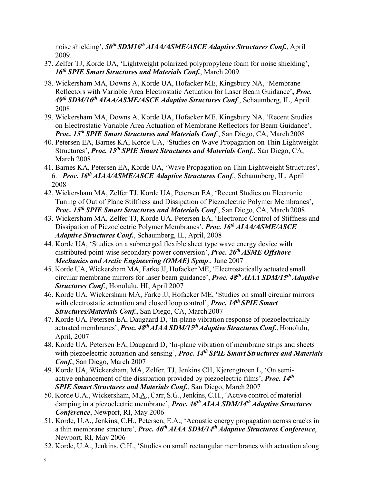noise shielding',  $50<sup>th</sup> SDM16<sup>th</sup> AIAA/ASME/ASCE$  *Adaptive Structures Conf.*, April 2009.

- 37. Zelfer TJ, Korde UA, 'Lightweight polarized polypropylene foam for noise shielding', *16th SPIE Smart Structures and Materials Conf.*, March 2009.
- 38. Wickersham MA, Downs A, Korde UA, Hofacker ME, Kingsbury NA, 'Membrane Reflectors with Variable Area Electrostatic Actuation for Laser Beam Guidance'**,** *Proc. 49th SDM/16th AIAA/ASME/ASCE Adaptive Structures Conf.*, Schaumberg, IL, April 2008
- 39. Wickersham MA, Downs A, Korde UA, Hofacker ME, Kingsbury NA, 'Recent Studies on Electrostatic Variable Area Actuation of Membrane Reflectors for Beam Guidance', *Proc. 15th SPIE Smart Structures and Materials Conf.*, San Diego, CA, March 2008
- 40. Petersen EA, Barnes KA, Korde UA, 'Studies on Wave Propagation on Thin Lightweight Structures', *Proc. 15th SPIE Smart Structures and Materials Conf.*, San Diego, CA, March 2008
- 41. Barnes KA, Petersen EA, Korde UA, 'Wave Propagation on Thin Lightweight Structures', 6. *Proc. 16th AIAA/ASME/ASCE Adaptive Structures Conf.*, Schaumberg, IL, April 2008
- 42. Wickersham MA, Zelfer TJ, Korde UA, Petersen EA, 'Recent Studies on Electronic Tuning of Out of Plane Stiffness and Dissipation of Piezoelectric Polymer Membranes', *Proc. 15th SPIE Smart Structures and Materials Conf.*, San Diego, CA, March 2008
- 43. Wickersham MA, Zelfer TJ, Korde UA, Petersen EA, 'Electronic Control of Stiffness and Dissipation of Piezoelectric Polymer Membranes', *Proc. 16th AIAA/ASME/ASCE Adaptive Structures Conf.*, Schaumberg, IL, April, 2008
- 44. Korde UA, 'Studies on a submerged flexible sheet type wave energy device with distributed point-wise secondary power conversion', *Proc. 26th ASME Offshore Mechanics and Arctic Engineering (OMAE) Symp*., June 2007
- 45. Korde UA, Wickersham MA, Farke JJ, Hofacker ME, 'Electrostatically actuated small circular membrane mirrors for laser beam guidance', *Proc. 48th AIAA SDM/15th Adaptive Structures Conf*., Honolulu, HI, April 2007
- 46. Korde UA, Wickersham MA, Farke JJ, Hofacker ME, 'Studies on small circular mirrors with electrostatic actuation and closed loop control', *Proc. 14th SPIE Smart Structures/Materials Conf.***,** San Diego, CA, March 2007
- 47. Korde UA, Petersen EA, Daugaard D, 'In-plane vibration response of piezoelectrically actuated membranes', *Proc.* 48<sup>th</sup> AIAA SDM/15<sup>th</sup> Adaptive Structures Conf., Honolulu, April, 2007
- 48. Korde UA, Petersen EA, Daugaard D, 'In-plane vibration of membrane strips and sheets with piezoelectric actuation and sensing', *Proc. 14th SPIE Smart Structures and Materials Conf.*, San Diego, March 2007
- 49. Korde UA, Wickersham, MA, Zelfer, TJ, Jenkins CH, Kjerengtroen L, 'On semiactive enhancement of the dissipation provided by piezoelectric films', *Proc. 14th SPIE Smart Structures and Materials Conf.*, San Diego, March 2007
- 50. Korde U.A., Wickersham, M.A., Carr, S.G.,Jenkins, C.H., 'Active control of material damping in a piezoelectric membrane', *Proc. 46th AIAA SDM/14th Adaptive Structures Conference*, Newport, RI, May 2006
- 51. Korde, U.A., Jenkins, C.H., Petersen, E.A., 'Acoustic energy propagation across cracks in a thin membrane structure', *Proc. 46th AIAA SDM/14th Adaptive Structures Conference*, Newport, RI, May 2006
- 52. Korde, U.A., Jenkins, C.H., 'Studies on small rectangular membranes with actuation along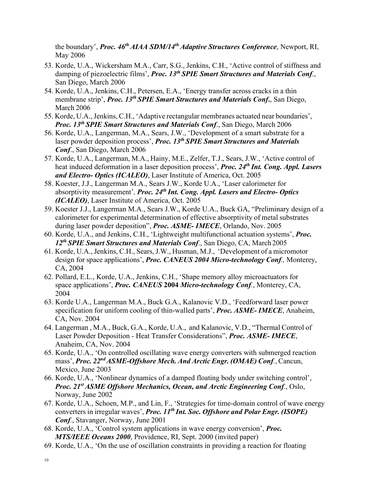the boundary', *Proc. 46th AIAA SDM/14th Adaptive Structures Conference*, Newport, RI, May 2006

- 53. Korde, U.A., Wickersham M.A., Carr, S.G., Jenkins, C.H., 'Active control of stiffness and damping of piezoelectric films', *Proc. 13th SPIE Smart Structures and Materials Conf*., San Diego, March 2006
- 54. Korde, U.A., Jenkins, C.H., Petersen, E.A., 'Energy transfer across cracks in a thin membrane strip', *Proc. 13th SPIE Smart Structures and Materials Conf***.**, San Diego, March 2006
- 55. Korde, U.A.,Jenkins, C.H., 'Adaptive rectangular membranes actuated near boundaries', *Proc. 13th SPIE Smart Structures and Materials Conf*., San Diego, March 2006
- 56. Korde, U.A., Langerman, M.A., Sears, J.W., 'Development of a smart substrate for a laser powder deposition process', *Proc. 13th SPIE Smart Structures and Materials Conf*., San Diego, March 2006
- 57. Korde, U.A., Langerman, M.A., Hainy, M.E., Zelfer, T.J., Sears, J.W., 'Active control of heat induced deformation in a laser deposition process', *Proc. 24th Int. Cong. Appl. Lasers and Electro- Optics (ICALEO)*, Laser Institute of America, Oct. 2005
- 58. Koester, J.J., Langerman M.A., Sears J.W., Korde U.A., 'Laser calorimeter for absorptivity measurement'*, Proc. 24th Int. Cong. Appl. Lasers and Electro- Optics (ICALEO)*, Laser Institute of America, Oct. 2005
- 59. Koester J.J., Langerman M.A., Sears J.W., Korde U.A., Buck GA, "Preliminary design of a calorimeter for experimental determination of effective absorptivity of metal substrates during laser powder deposition", *Proc. ASME- IMECE*, Orlando, Nov. 2005
- 60. Korde, U.A., and Jenkins, C.H., 'Lightweight multifunctional actuation systems', *Proc. 12th SPIE Smart Structures and Materials Conf*., San Diego, CA, March 2005
- 61. Korde, U.A., Jenkins, C.H., Sears, J.W., Husman, M.J., 'Development of a micromotor design for space applications', *Proc. CANEUS 2004 Micro-technology Conf.,* Monterey, CA, 2004
- 62. Pollard, E.L., Korde, U.A., Jenkins, C.H., 'Shape memory alloy microactuators for space applications', *Proc. CANEUS* **2004** *Micro-technology Conf.*, Monterey, CA, 2004
- 63. Korde U.A., Langerman M.A., Buck G.A., Kalanovic V.D., 'Feedforward laser power specification for uniform cooling of thin-walled parts', *Proc. ASME- IMECE*, Anaheim, CA, Nov. 2004
- 64. Langerman , M.A., Buck, G.A., Korde, U.A., and Kalanovic, V.D., "Thermal Control of Laser Powder Deposition - Heat Transfer Considerations", *Proc. ASME- IMECE*, Anaheim, CA, Nov. 2004
- 65. Korde, U.A., 'On controlled oscillating wave energy converters with submerged reaction mass', *Proc.* 22<sup>nd</sup> ASME-Offshore Mech. And Arctic *Engr.* (OMAE) Conf., Cancun, Mexico, June 2003
- 66. Korde, U.A., 'Nonlinear dynamics of a damped floating body under switching control', *Proc. 21st ASME Offshore Mechanics, Ocean, and Arctic Engineering Conf.*, Oslo, Norway, June 2002
- 67. Korde, U.A., Schoen, M.P., and Lin, F., 'Strategies for time-domain control of wave energy converters in irregular waves', *Proc. 11th Int. Soc. Offshore and Polar Engr. (ISOPE) Conf.*, Stavanger, Norway, June 2001
- 68. Korde, U.A., 'Control system applications in wave energy conversion', *Proc. MTS/IEEE Oceans 2000*, Providence, RI, Sept. 2000 (invited paper)
- 69. Korde, U.A., 'On the use of oscillation constraints in providing a reaction for floating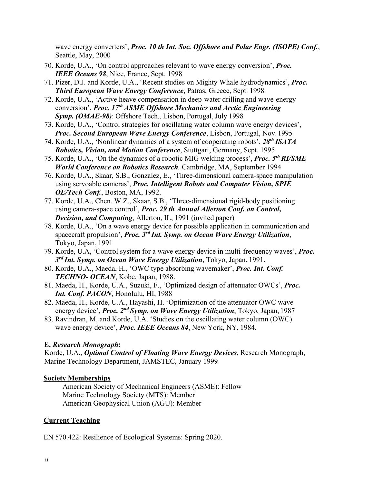wave energy converters', *Proc. 10 th Int. Soc. Offshore and Polar Engr. (ISOPE) Conf.*, Seattle, May, 2000

- 70. Korde, U.A., 'On control approaches relevant to wave energy conversion', *Proc. IEEE Oceans 98*, Nice, France, Sept. 1998
- 71. Pizer, D.J. and Korde, U.A., 'Recent studies on Mighty Whale hydrodynamics', *Proc. Third European Wave Energy Conference*, Patras, Greece, Sept. 1998
- 72. Korde, U.A., 'Active heave compensation in deep-water drilling and wave-energy conversion', *Proc. 17th ASME Offshore Mechanics and Arctic Engineering Symp. (OMAE-98)*: Offshore Tech., Lisbon, Portugal, July 1998
- 73. Korde, U.A., 'Control strategies for oscillating water column wave energy devices', *Proc. Second European Wave Energy Conference*, Lisbon, Portugal, Nov.1995
- 74. Korde, U.A., 'Nonlinear dynamics of a system of cooperating robots', *28th ISATA Robotics, Vision, and Motion Conference*, Stuttgart, Germany, Sept. 1995
- 75. Korde, U.A., 'On the dynamics of a robotic MIG welding process', *Proc. 5th RI/SME World Conference on Robotics Research.* Cambridge, MA, September 1994
- 76. Korde, U.A., Skaar, S.B., Gonzalez, E., 'Three-dimensional camera-space manipulation using servoable cameras', *Proc. Intelligent Robots and Computer Vision, SPIE OE/Tech Conf.*, Boston, MA, 1992.
- 77. Korde, U.A., Chen. W.Z., Skaar, S.B., 'Three-dimensional rigid-body positioning using camera-space control', *Proc. 29 th Annual Allerton Conf. on Control***,**  *Decision, and Computing*, Allerton, IL, 1991 (invited paper)
- 78. Korde, U.A., 'On a wave energy device for possible application in communication and spacecraft propulsion', *Proc. 3rd Int. Symp. on Ocean Wave Energy Utilization*, Tokyo, Japan, 1991
- 79. Korde, U.A, 'Control system for a wave energy device in multi-frequency waves', *Proc. 3rd Int. Symp. on Ocean Wave Energy Utilization*, Tokyo, Japan, 1991.
- 80. Korde, U.A., Maeda, H., 'OWC type absorbing wavemaker', *Proc. Int. Conf. TECHNO- OCEAN*, Kobe, Japan, 1988.
- 81. Maeda, H., Korde, U.A., Suzuki, F., 'Optimized design of attenuator OWCs', *Proc. Int. Conf. PACON*, Honolulu, HI, 1988
- 82. Maeda, H., Korde, U.A., Hayashi, H. 'Optimization of the attenuator OWC wave energy device', *Proc. 2nd Symp. on Wave Energy Utilization*, Tokyo, Japan, 1987
- 83. Ravindran, M. and Korde, U.A. 'Studies on the oscillating water column (OWC) wave energy device', *Proc. IEEE Oceans 84*, New York, NY, 1984.

### **E.** *Research Monograph***:**

Korde, U.A., *Optimal Control of Floating Wave Energy Devices*, Research Monograph, Marine Technology Department, JAMSTEC, January 1999

### **Society Memberships**

American Society of Mechanical Engineers (ASME): Fellow Marine Technology Society (MTS): Member American Geophysical Union (AGU): Member

# **Current Teaching**

EN 570.422: Resilience of Ecological Systems: Spring 2020.